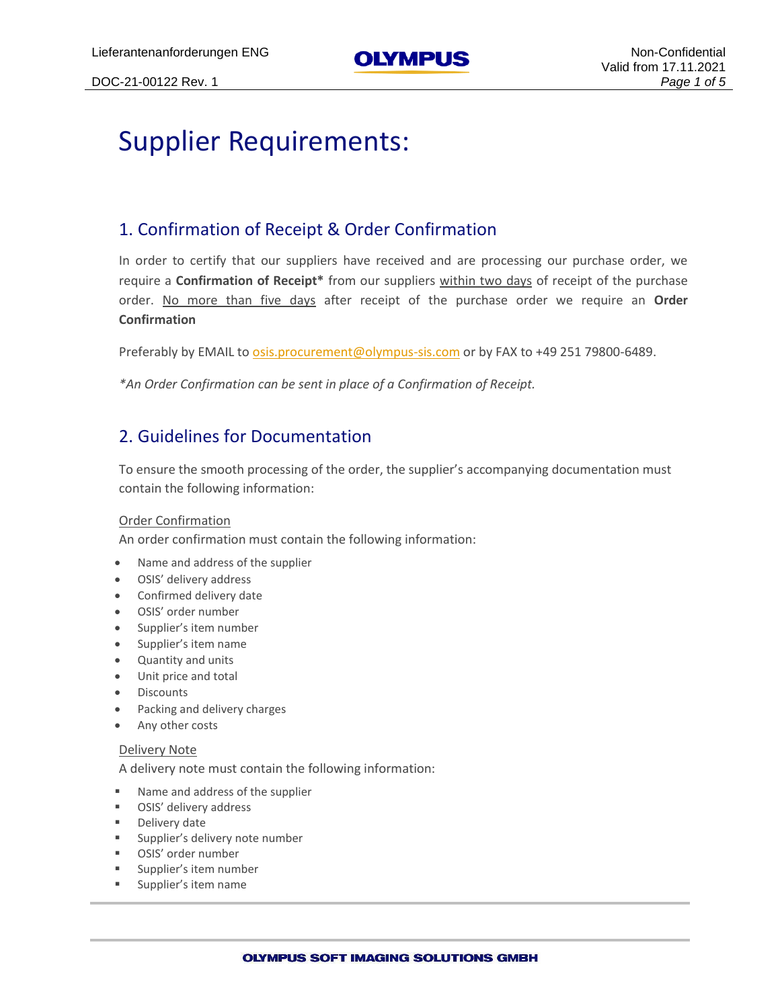## Supplier Requirements:

## 1. Confirmation of Receipt & Order Confirmation

In order to certify that our suppliers have received and are processing our purchase order, we require a **Confirmation of Receipt\*** from our suppliers within two days of receipt of the purchase order. No more than five days after receipt of the purchase order we require an **Order Confirmation**

Preferably by EMAIL to [osis.procurement@olympus-sis.com](mailto:osis.procurement@olympus-sis.com) or by FAX to +49 251 79800-6489.

*\*An Order Confirmation can be sent in place of a Confirmation of Receipt.*

## 2. Guidelines for Documentation

To ensure the smooth processing of the order, the supplier's accompanying documentation must contain the following information:

#### Order Confirmation

An order confirmation must contain the following information:

- Name and address of the supplier
- OSIS' delivery address
- Confirmed delivery date
- OSIS' order number
- Supplier's item number
- Supplier's item name
- Quantity and units
- Unit price and total
- Discounts
- Packing and delivery charges
- Any other costs

#### Delivery Note

A delivery note must contain the following information:

- Name and address of the supplier
- OSIS' delivery address
- Delivery date
- **EXECUTE:** Supplier's delivery note number
- OSIS' order number
- Supplier's item number
- Supplier's item name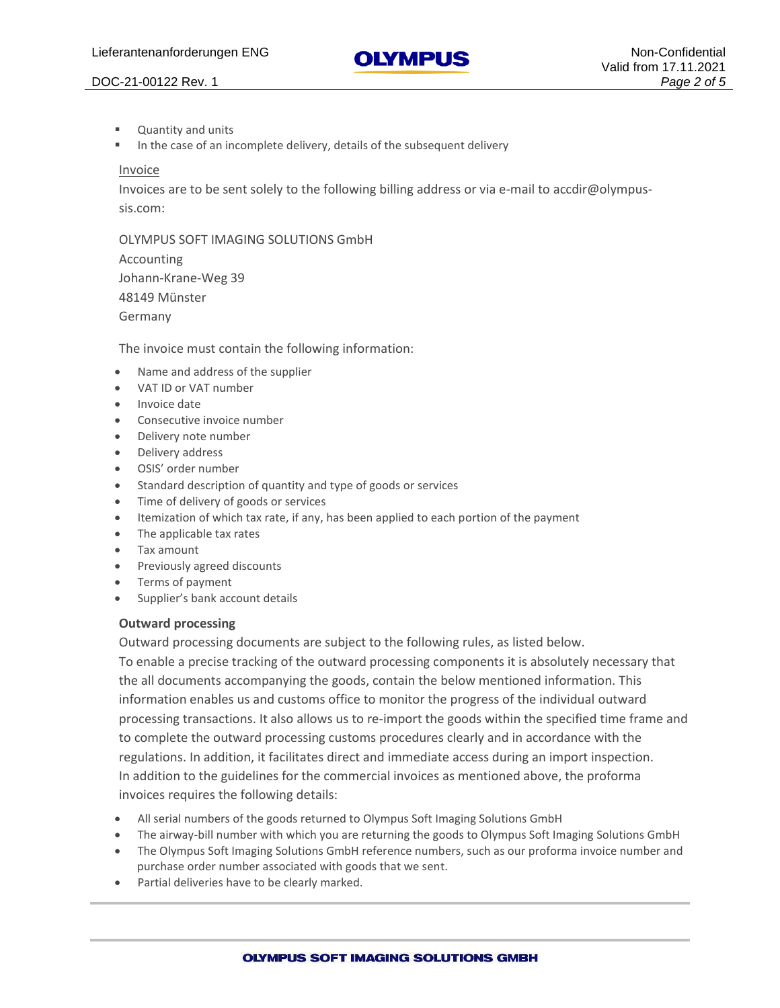

# Valid from 17.11.2021

#### DOC-21-00122 Rev. 1 *Page 2 of 5*

- Quantity and units
- In the case of an incomplete delivery, details of the subsequent delivery

#### Invoice

Invoices are to be sent solely to the following billing address or via e-mail to accdir@olympussis.com:

OLYMPUS SOFT IMAGING SOLUTIONS GmbH

Accounting Johann-Krane-Weg 39 48149 Münster Germany

The invoice must contain the following information:

- Name and address of the supplier
- VAT ID or VAT number
- Invoice date
- Consecutive invoice number
- Delivery note number
- Delivery address
- OSIS' order number
- Standard description of quantity and type of goods or services
- Time of delivery of goods or services
- Itemization of which tax rate, if any, has been applied to each portion of the payment
- The applicable tax rates
- Tax amount
- Previously agreed discounts
- Terms of payment
- Supplier's bank account details

#### **Outward processing**

Outward processing documents are subject to the following rules, as listed below.

To enable a precise tracking of the outward processing components it is absolutely necessary that the all documents accompanying the goods, contain the below mentioned information. This information enables us and customs office to monitor the progress of the individual outward processing transactions. It also allows us to re-import the goods within the specified time frame and to complete the outward processing customs procedures clearly and in accordance with the regulations. In addition, it facilitates direct and immediate access during an import inspection. In addition to the guidelines for the commercial invoices as mentioned above, the proforma invoices requires the following details:

- All serial numbers of the goods returned to Olympus Soft Imaging Solutions GmbH
- The airway-bill number with which you are returning the goods to Olympus Soft Imaging Solutions GmbH
- The Olympus Soft Imaging Solutions GmbH reference numbers, such as our proforma invoice number and purchase order number associated with goods that we sent.
- Partial deliveries have to be clearly marked.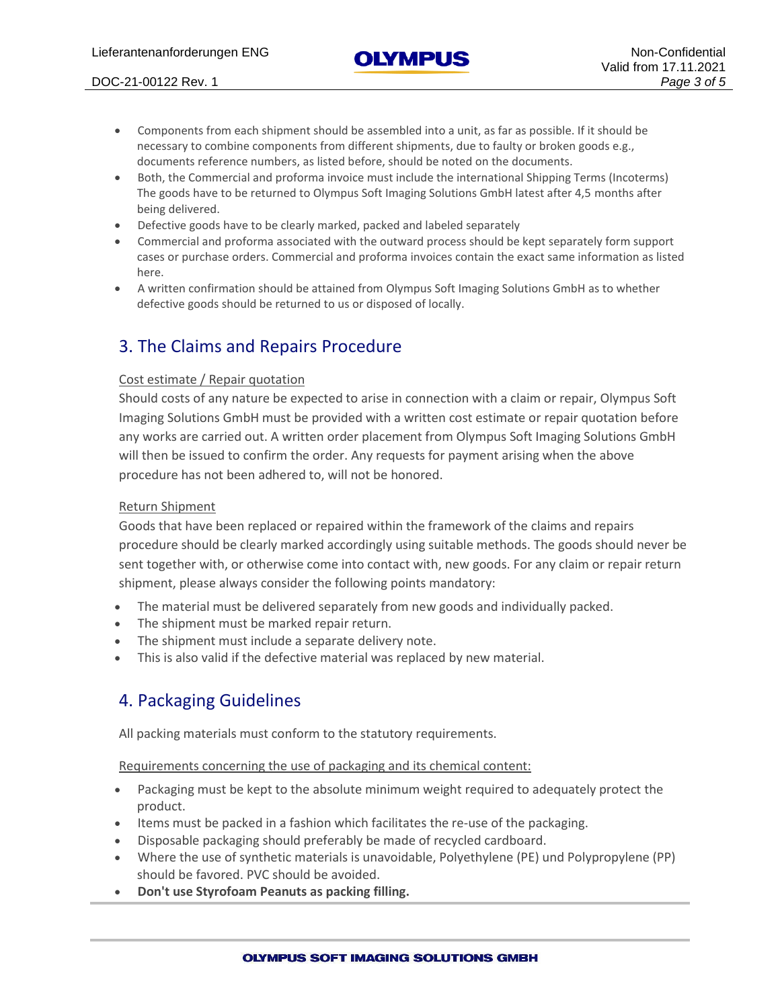#### DOC-21-00122 Rev. 1 *Page 3 of 5*

- Components from each shipment should be assembled into a unit, as far as possible. If it should be necessary to combine components from different shipments, due to faulty or broken goods e.g., documents reference numbers, as listed before, should be noted on the documents.
- Both, the Commercial and proforma invoice must include the international Shipping Terms (Incoterms) The goods have to be returned to Olympus Soft Imaging Solutions GmbH latest after 4,5 months after being delivered.
- Defective goods have to be clearly marked, packed and labeled separately
- Commercial and proforma associated with the outward process should be kept separately form support cases or purchase orders. Commercial and proforma invoices contain the exact same information as listed here.
- A written confirmation should be attained from Olympus Soft Imaging Solutions GmbH as to whether defective goods should be returned to us or disposed of locally.

## 3. The Claims and Repairs Procedure

#### Cost estimate / Repair quotation

Should costs of any nature be expected to arise in connection with a claim or repair, Olympus Soft Imaging Solutions GmbH must be provided with a written cost estimate or repair quotation before any works are carried out. A written order placement from Olympus Soft Imaging Solutions GmbH will then be issued to confirm the order. Any requests for payment arising when the above procedure has not been adhered to, will not be honored.

#### Return Shipment

Goods that have been replaced or repaired within the framework of the claims and repairs procedure should be clearly marked accordingly using suitable methods. The goods should never be sent together with, or otherwise come into contact with, new goods. For any claim or repair return shipment, please always consider the following points mandatory:

- The material must be delivered separately from new goods and individually packed.
- The shipment must be marked repair return.
- The shipment must include a separate delivery note.
- This is also valid if the defective material was replaced by new material.

## 4. Packaging Guidelines

All packing materials must conform to the statutory requirements.

Requirements concerning the use of packaging and its chemical content:

- Packaging must be kept to the absolute minimum weight required to adequately protect the product.
- Items must be packed in a fashion which facilitates the re-use of the packaging.
- Disposable packaging should preferably be made of recycled cardboard.
- Where the use of synthetic materials is unavoidable, Polyethylene (PE) und Polypropylene (PP) should be favored. PVC should be avoided.
- **Don't use Styrofoam Peanuts as packing filling.**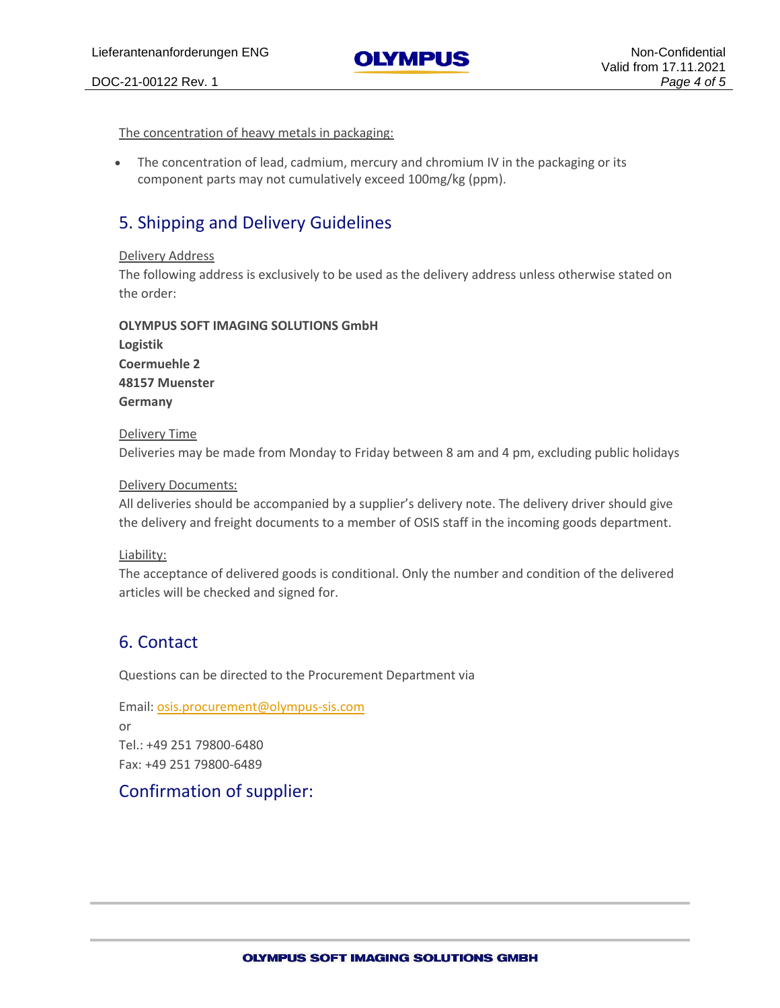DOC-21-00122 Rev. 1 *Page 4 of 5*

The concentration of heavy metals in packaging:

• The concentration of lead, cadmium, mercury and chromium IV in the packaging or its component parts may not cumulatively exceed 100mg/kg (ppm).

## 5. Shipping and Delivery Guidelines

#### Delivery Address

The following address is exclusively to be used as the delivery address unless otherwise stated on the order:

#### **OLYMPUS SOFT IMAGING SOLUTIONS GmbH**

| Logistik       |
|----------------|
| Coermuehle 2   |
| 48157 Muenster |
| Germany        |

#### Delivery Time

Deliveries may be made from Monday to Friday between 8 am and 4 pm, excluding public holidays

#### Delivery Documents:

All deliveries should be accompanied by a supplier's delivery note. The delivery driver should give the delivery and freight documents to a member of OSIS staff in the incoming goods department.

#### Liability:

The acceptance of delivered goods is conditional. Only the number and condition of the delivered articles will be checked and signed for.

## 6. Contact

Questions can be directed to the Procurement Department via

Email: [osis.procurement@olympus-sis.com](mailto:osis.procurement@olympus-sis.com) or Tel.: +49 251 79800-6480 Fax: +49 251 79800-6489

## Confirmation of supplier: